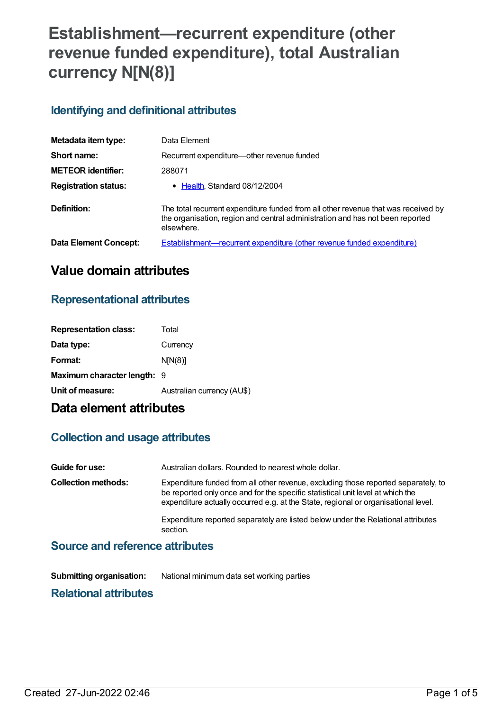# **Establishment—recurrent expenditure (other revenue funded expenditure), total Australian currency N[N(8)]**

### **Identifying and definitional attributes**

| Metadata item type:          | Data Element                                                                                                                                                                      |
|------------------------------|-----------------------------------------------------------------------------------------------------------------------------------------------------------------------------------|
| Short name:                  | Recurrent expenditure—other revenue funded                                                                                                                                        |
| <b>METEOR identifier:</b>    | 288071                                                                                                                                                                            |
| <b>Registration status:</b>  | • Health, Standard 08/12/2004                                                                                                                                                     |
| Definition:                  | The total recurrent expenditure funded from all other revenue that was received by<br>the organisation, region and central administration and has not been reported<br>elsewhere. |
| <b>Data Element Concept:</b> | <b>Establishment—recurrent expenditure (other revenue funded expenditure)</b>                                                                                                     |

### **Value domain attributes**

#### **Representational attributes**

| <b>Representation class:</b> | Total                      |
|------------------------------|----------------------------|
| Data type:                   | Currency                   |
| Format:                      | N[N(8)]                    |
| Maximum character length: 9  |                            |
| Unit of measure:             | Australian currency (AU\$) |
|                              |                            |

## **Data element attributes**

#### **Collection and usage attributes**

| Guide for use:             | Australian dollars. Rounded to nearest whole dollar.                                                                                                                                                                                                       |
|----------------------------|------------------------------------------------------------------------------------------------------------------------------------------------------------------------------------------------------------------------------------------------------------|
| <b>Collection methods:</b> | Expenditure funded from all other revenue, excluding those reported separately, to<br>be reported only once and for the specific statistical unit level at which the<br>expenditure actually occurred e.g. at the State, regional or organisational level. |
|                            | Expenditure reported separately are listed below under the Relational attributes<br>section.                                                                                                                                                               |

#### **Source and reference attributes**

**Submitting organisation:** National minimum data set working parties

### **Relational attributes**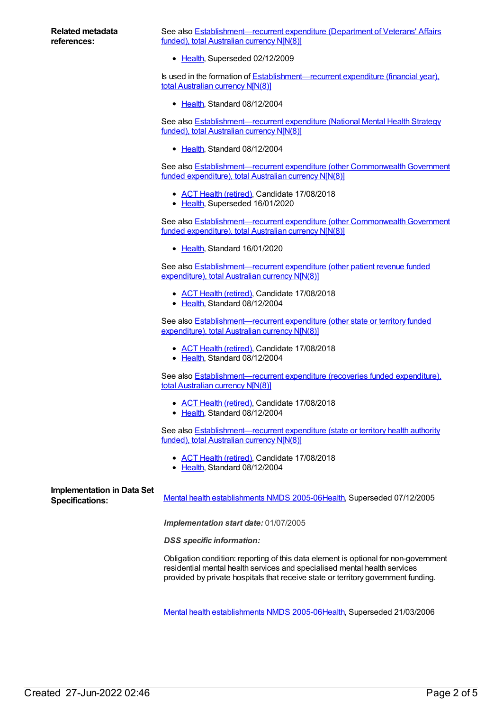See also [Establishment—recurrent](https://meteor.aihw.gov.au/content/287031) expenditure (Department of Veterans' Affairs funded), total Australian currency N[N(8)]

• [Health](https://meteor.aihw.gov.au/RegistrationAuthority/12), Superseded 02/12/2009

Is used in the formation of **[Establishment—recurrent](https://meteor.aihw.gov.au/content/288993) expenditure (financial year)**, total Australian currency N[N(8)]

[Health](https://meteor.aihw.gov.au/RegistrationAuthority/12), Standard 08/12/2004

See also **[Establishment—recurrent](https://meteor.aihw.gov.au/content/289502) expenditure (National Mental Health Strategy** funded), total Australian currency N[N(8)]

• [Health](https://meteor.aihw.gov.au/RegistrationAuthority/12), Standard 08/12/2004

See also Establishment-recurrent expenditure (other Commonwealth Government funded expenditure), total Australian currency N[N(8)]

- ACT Health [\(retired\)](https://meteor.aihw.gov.au/RegistrationAuthority/9), Candidate 17/08/2018
- [Health](https://meteor.aihw.gov.au/RegistrationAuthority/12), Superseded 16/01/2020

See also Establishment-recurrent expenditure (other Commonwealth Government funded expenditure), total Australian currency NIN(8)]

• [Health](https://meteor.aihw.gov.au/RegistrationAuthority/12), Standard 16/01/2020

See also [Establishment—recurrent](https://meteor.aihw.gov.au/content/290583) expenditure (other patient revenue funded expenditure), total Australian currency N[N(8)]

- ACT Health [\(retired\)](https://meteor.aihw.gov.au/RegistrationAuthority/9), Candidate 17/08/2018
- [Health](https://meteor.aihw.gov.au/RegistrationAuthority/12), Standard 08/12/2004

See also **[Establishment—recurrent](https://meteor.aihw.gov.au/content/288075) expenditure (other state or territory funded** expenditure), total Australian currency N[N(8)]

- ACT Health [\(retired\)](https://meteor.aihw.gov.au/RegistrationAuthority/9), Candidate 17/08/2018
- [Health](https://meteor.aihw.gov.au/RegistrationAuthority/12), Standard 08/12/2004

See also [Establishment—recurrent](https://meteor.aihw.gov.au/content/288685) expenditure (recoveries funded expenditure), total Australian currency N[N(8)]

- ACT Health [\(retired\)](https://meteor.aihw.gov.au/RegistrationAuthority/9), Candidate 17/08/2018
- [Health](https://meteor.aihw.gov.au/RegistrationAuthority/12), Standard 08/12/2004

See also **[Establishment—recurrent](https://meteor.aihw.gov.au/content/288965) expenditure (state or territory health authority** funded), total Australian currency N[N(8)]

- ACT Health [\(retired\)](https://meteor.aihw.gov.au/RegistrationAuthority/9), Candidate 17/08/2018
- [Health](https://meteor.aihw.gov.au/RegistrationAuthority/12), Standard 08/12/2004

# **Implementation in Data Set**

Specifications: Mental health [establishments](https://meteor.aihw.gov.au/content/298027) NMDS 2005-06[Health](https://meteor.aihw.gov.au/RegistrationAuthority/12), Superseded 07/12/2005

*Implementation start date:* 01/07/2005

*DSS specific information:*

Obligation condition: reporting of this data element is optional for non-government residential mental health services and specialised mental health services provided by private hospitals that receive state or territory government funding.

Mental health [establishments](https://meteor.aihw.gov.au/content/311875) NMDS 2005-06[Health](https://meteor.aihw.gov.au/RegistrationAuthority/12), Superseded 21/03/2006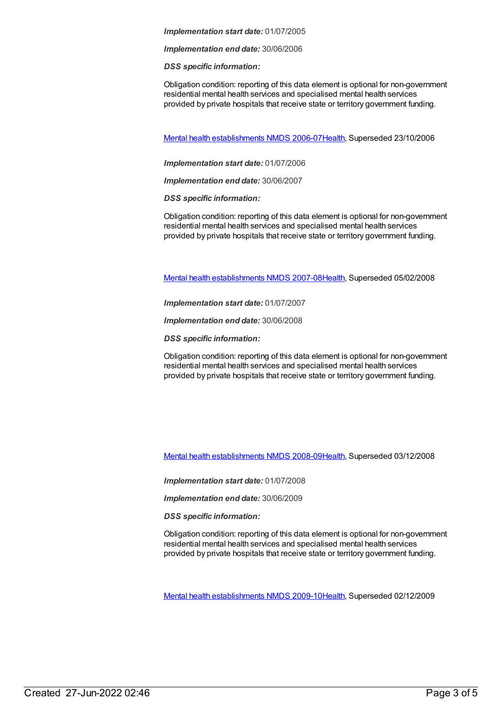#### *Implementation start date:* 01/07/2005

*Implementation end date:* 30/06/2006

*DSS specific information:*

Obligation condition: reporting of this data element is optional for non-government residential mental health services and specialised mental health services provided by private hospitals that receive state or territory government funding.

Mental health [establishments](https://meteor.aihw.gov.au/content/334283) NMDS 2006-07[Health](https://meteor.aihw.gov.au/RegistrationAuthority/12), Superseded 23/10/2006

*Implementation start date:* 01/07/2006

*Implementation end date:* 30/06/2007

*DSS specific information:*

Obligation condition: reporting of this data element is optional for non-government residential mental health services and specialised mental health services provided by private hospitals that receive state or territory government funding.

Mental health [establishments](https://meteor.aihw.gov.au/content/345134) NMDS 2007-08[Health](https://meteor.aihw.gov.au/RegistrationAuthority/12), Superseded 05/02/2008

*Implementation start date:* 01/07/2007

*Implementation end date:* 30/06/2008

*DSS specific information:*

Obligation condition: reporting of this data element is optional for non-government residential mental health services and specialised mental health services provided by private hospitals that receive state or territory government funding.

Mental health [establishments](https://meteor.aihw.gov.au/content/362299) NMDS 2008-09[Health](https://meteor.aihw.gov.au/RegistrationAuthority/12), Superseded 03/12/2008

*Implementation start date:* 01/07/2008

*Implementation end date:* 30/06/2009

*DSS specific information:*

Obligation condition: reporting of this data element is optional for non-government residential mental health services and specialised mental health services provided by private hospitals that receive state or territory government funding.

Mental health [establishments](https://meteor.aihw.gov.au/content/374981) NMDS 2009-10[Health](https://meteor.aihw.gov.au/RegistrationAuthority/12), Superseded 02/12/2009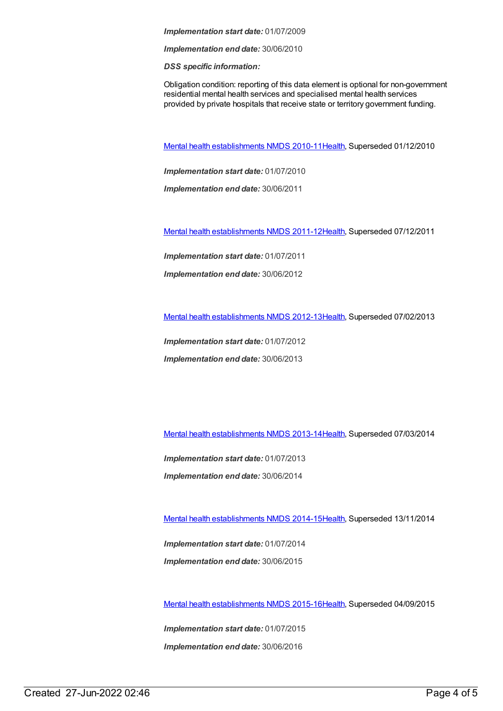*Implementation start date:* 01/07/2009

*Implementation end date:* 30/06/2010

*DSS specific information:*

Obligation condition: reporting of this data element is optional for non-government residential mental health services and specialised mental health services provided by private hospitals that receive state or territory government funding.

Mental health [establishments](https://meteor.aihw.gov.au/content/378611) NMDS 2010-11[Health](https://meteor.aihw.gov.au/RegistrationAuthority/12), Superseded 01/12/2010

*Implementation start date:* 01/07/2010

*Implementation end date:* 30/06/2011

Mental health [establishments](https://meteor.aihw.gov.au/content/424725) NMDS 2011-12[Health](https://meteor.aihw.gov.au/RegistrationAuthority/12), Superseded 07/12/2011

*Implementation start date:* 01/07/2011

*Implementation end date:* 30/06/2012

Mental health [establishments](https://meteor.aihw.gov.au/content/468195) NMDS 2012-13[Health](https://meteor.aihw.gov.au/RegistrationAuthority/12), Superseded 07/02/2013

*Implementation start date:* 01/07/2012

*Implementation end date:* 30/06/2013

Mental health [establishments](https://meteor.aihw.gov.au/content/493652) NMDS 2013-14[Health](https://meteor.aihw.gov.au/RegistrationAuthority/12), Superseded 07/03/2014

*Implementation start date:* 01/07/2013

*Implementation end date:* 30/06/2014

Mental health [establishments](https://meteor.aihw.gov.au/content/546889) NMDS 2014-15[Health](https://meteor.aihw.gov.au/RegistrationAuthority/12), Superseded 13/11/2014

*Implementation start date:* 01/07/2014 *Implementation end date:* 30/06/2015

Mental health [establishments](https://meteor.aihw.gov.au/content/565661) NMDS 2015-16[Health](https://meteor.aihw.gov.au/RegistrationAuthority/12), Superseded 04/09/2015

*Implementation start date:* 01/07/2015 *Implementation end date:* 30/06/2016